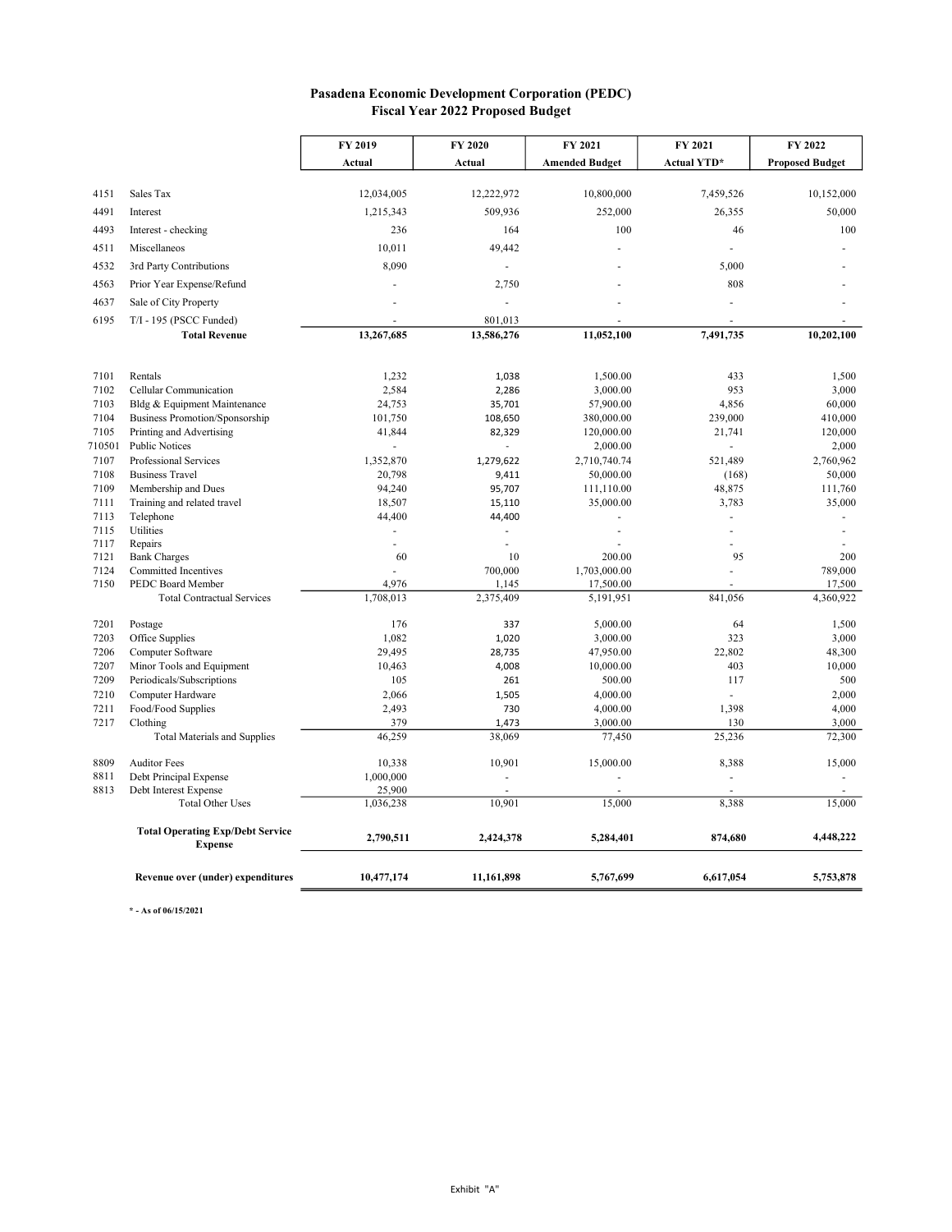|        |                                                           | FY 2019        | FY 2020            | FY 2021                | FY 2021            | FY 2022                |
|--------|-----------------------------------------------------------|----------------|--------------------|------------------------|--------------------|------------------------|
|        |                                                           |                |                    |                        |                    |                        |
|        |                                                           | Actual         | Actual             | <b>Amended Budget</b>  | <b>Actual YTD*</b> | <b>Proposed Budget</b> |
| 4151   | Sales Tax                                                 | 12,034,005     | 12,222,972         | 10,800,000             | 7,459,526          | 10,152,000             |
| 4491   | Interest                                                  | 1,215,343      | 509,936            | 252,000                | 26,355             | 50,000                 |
| 4493   | Interest - checking                                       | 236            | 164                | 100                    | 46                 | 100                    |
| 4511   | Miscellaneos                                              | 10,011         | 49,442             | ÷,                     | ä,                 |                        |
| 4532   | 3rd Party Contributions                                   | 8,090          |                    |                        | 5,000              |                        |
| 4563   | Prior Year Expense/Refund                                 |                | 2,750              |                        | 808                |                        |
|        |                                                           |                |                    |                        |                    |                        |
| 4637   | Sale of City Property                                     |                | ÷.                 |                        |                    |                        |
| 6195   | T/I - 195 (PSCC Funded)                                   |                | 801,013            |                        |                    |                        |
|        | <b>Total Revenue</b>                                      | 13,267,685     | 13,586,276         | 11,052,100             | 7,491,735          | 10,202,100             |
| 7101   | Rentals                                                   | 1,232          | 1,038              | 1,500.00               | 433                | 1,500                  |
| 7102   | Cellular Communication                                    | 2,584          | 2,286              | 3,000.00               | 953                | 3,000                  |
| 7103   | Bldg & Equipment Maintenance                              | 24,753         | 35,701             | 57,900.00              | 4,856              | 60,000                 |
| 7104   | Business Promotion/Sponsorship                            | 101,750        | 108,650            | 380,000.00             | 239,000            | 410,000                |
| 7105   | Printing and Advertising                                  | 41,844         | 82,329             | 120,000.00             | 21,741             | 120,000                |
| 710501 | <b>Public Notices</b>                                     | L.             |                    | 2,000.00               |                    | 2,000                  |
| 7107   | Professional Services                                     | 1,352,870      | 1,279,622          | 2,710,740.74           | 521,489            | 2,760,962              |
| 7108   | <b>Business Travel</b>                                    | 20,798         | 9,411              | 50,000.00              | (168)              | 50,000                 |
| 7109   | Membership and Dues                                       | 94,240         | 95,707             | 111,110.00             | 48,875             | 111,760                |
| 7111   | Training and related travel                               | 18,507         | 15,110             | 35,000.00              | 3,783              | 35,000                 |
| 7113   | Telephone                                                 | 44,400         | 44,400             | ä,                     | ä,                 | ä,                     |
| 7115   | Utilities                                                 |                |                    | ÷,                     | ä,                 |                        |
| 7117   | Repairs                                                   | $\overline{a}$ | $\sim$             |                        | ÷                  |                        |
| 7121   | <b>Bank Charges</b>                                       | 60             | 10                 | 200.00                 | 95                 | 200                    |
| 7124   | Committed Incentives<br>PEDC Board Member                 | 4,976          | 700,000            | 1,703,000.00           | L<br>÷             | 789,000<br>17,500      |
| 7150   | <b>Total Contractual Services</b>                         | 1,708,013      | 1,145<br>2,375,409 | 17,500.00<br>5,191,951 | 841,056            | 4,360,922              |
|        |                                                           |                |                    |                        |                    |                        |
| 7201   | Postage                                                   | 176            | 337                | 5,000.00               | 64                 | 1,500                  |
| 7203   | Office Supplies                                           | 1,082          | 1,020              | 3,000.00               | 323                | 3,000                  |
| 7206   | Computer Software                                         | 29,495         | 28,735             | 47,950.00              | 22,802             | 48,300                 |
| 7207   | Minor Tools and Equipment                                 | 10,463         | 4,008              | 10,000.00              | 403                | 10,000                 |
| 7209   | Periodicals/Subscriptions                                 | 105            | 261                | 500.00                 | 117                | 500                    |
| 7210   | Computer Hardware                                         | 2,066          | 1,505              | 4,000.00               | ä,                 | 2,000                  |
| 7211   | Food/Food Supplies                                        | 2,493          | 730                | 4,000.00               | 1,398              | 4,000                  |
| 7217   | Clothing                                                  | 379            | 1,473              | 3,000.00               | 130                | 3,000                  |
|        | <b>Total Materials and Supplies</b>                       | 46,259         | 38,069             | 77,450                 | 25,236             | 72,300                 |
| 8809   | <b>Auditor Fees</b>                                       | 10,338         | 10,901             | 15,000.00              | 8,388              | 15,000                 |
| 8811   | Debt Principal Expense                                    | 1,000,000      | ÷.                 | ÷,                     | ä,                 |                        |
| 8813   | Debt Interest Expense                                     | 25,900         |                    | ÷.                     | ÷                  |                        |
|        | <b>Total Other Uses</b>                                   | 1,036,238      | 10,901             | 15,000                 | 8,388              | 15,000                 |
|        | <b>Total Operating Exp/Debt Service</b><br><b>Expense</b> | 2,790,511      | 2,424,378          | 5,284,401              | 874,680            | 4,448,222              |
|        | Revenue over (under) expenditures                         | 10,477,174     | 11,161,898         | 5,767,699              | 6,617,054          | 5,753,878              |

## Pasadena Economic Development Corporation (PEDC) Fiscal Year 2022 Proposed Budget

\* - As of 06/15/2021